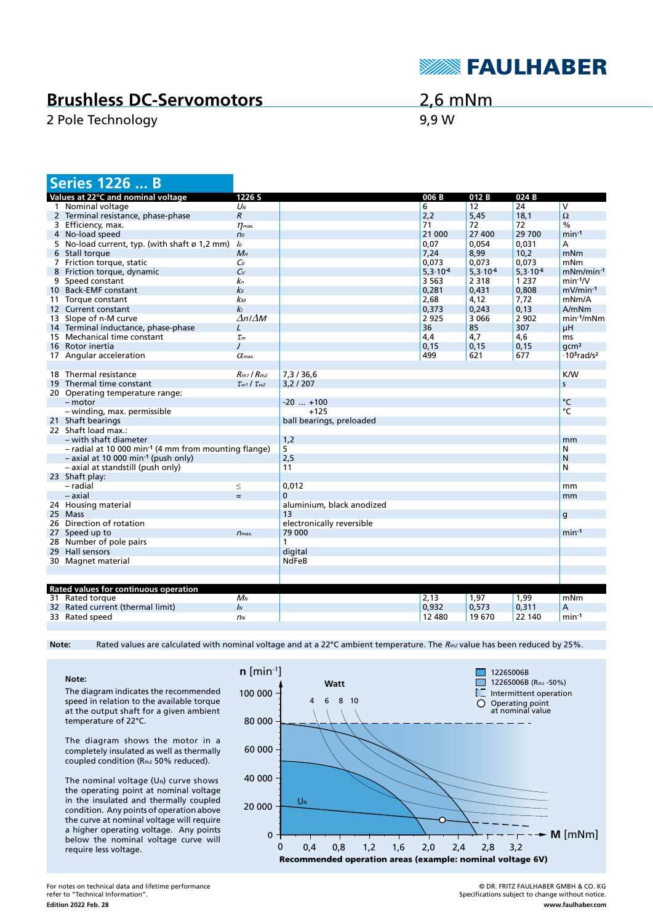

## **Brushless DC-Servomotors**

2 Pole Technology 8,9 W

2,6 mNm

|    | <b>Series 1226  B</b>                                              |                           |                           |               |               |               |                                            |
|----|--------------------------------------------------------------------|---------------------------|---------------------------|---------------|---------------|---------------|--------------------------------------------|
|    | Values at 22°C and nominal voltage                                 | 1226 S                    |                           | 006 B         | 012B          | 024B          |                                            |
|    | 1 Nominal voltage                                                  | $U_N$                     |                           | 6             | 12            | 24            | V                                          |
|    | 2 Terminal resistance, phase-phase                                 | $\mathcal{R}$             |                           | 2,2           | 5,45          | 18,1          | $\Omega$                                   |
|    | 3 Efficiency, max.                                                 | $\eta_{\textit{max}}$     |                           | 71            | 72            | 72            | $\%$                                       |
|    | 4 No-load speed                                                    | n <sub>o</sub>            |                           | 21 000        | 27 400        | 29 700        | $min-1$                                    |
|    | 5 No-load current, typ. (with shaft ø 1,2 mm)                      | lo                        |                           | 0,07          | 0,054         | 0,031         | А                                          |
|    | 6 Stall torque                                                     | $M_H$                     |                           | 7,24          | 8,99          | 10,2          | mNm                                        |
|    | 7 Friction torque, static                                          | $\mathcal{C}_0$           |                           | 0,073         | 0,073         | 0,073         | mNm                                        |
|    | 8 Friction torque, dynamic                                         | $C_V$                     |                           | $5,3.10^{-6}$ | $5,3.10^{-6}$ | $5,3.10^{-6}$ | $mNm/min-1$                                |
|    | 9 Speed constant                                                   | kп                        |                           | 3 5 6 3       | 2 3 1 8       | 1 2 3 7       | $min-1/V$                                  |
|    | 10 Back-EMF constant                                               | kε                        |                           | 0,281         | 0,431         | 0,808         | $mV/min-1$                                 |
|    | 11 Torque constant                                                 | kм                        |                           | 2,68          | 4,12          | 7,72          | mNm/A                                      |
|    | 12 Current constant                                                | kı                        |                           | 0,373         | 0,243         | 0,13          | A/mNm                                      |
|    | 13 Slope of n-M curve                                              | $\Delta n / \Delta M$     |                           | 2 9 2 5       | 3 0 6 6       | 2 9 0 2       | $min-1/mNm$                                |
|    | 14 Terminal inductance, phase-phase                                | L                         |                           | 36            | 85            | 307           | μH                                         |
|    | 15 Mechanical time constant                                        | $\tau_m$                  |                           | 4,4           | 4,7           | 4,6           | ms                                         |
|    | 16 Rotor inertia                                                   | $\prime$                  |                           | 0, 15         | 0,15          | 0,15          | qcm <sup>2</sup>                           |
|    | 17 Angular acceleration                                            | $\alpha$ <sub>max</sub>   |                           | 499           | 621           | 677           | $\cdot$ 10 <sup>3</sup> rad/s <sup>2</sup> |
|    |                                                                    |                           |                           |               |               |               |                                            |
|    | 18 Thermal resistance                                              | $R_{th1}$ / $R_{th2}$     | 7,3/36,6                  |               |               |               | <b>K/W</b>                                 |
|    | 19 Thermal time constant                                           | $\tau_{w1}$ / $\tau_{w2}$ | 3,2/207                   |               |               |               | s                                          |
|    | 20 Operating temperature range:                                    |                           |                           |               |               |               |                                            |
|    | $-$ motor                                                          |                           | $-20$ $+100$              |               |               |               | °C                                         |
|    | - winding, max. permissible                                        |                           | $+125$                    |               |               |               | °C                                         |
|    | 21 Shaft bearings                                                  |                           | ball bearings, preloaded  |               |               |               |                                            |
|    | 22 Shaft load max.:                                                |                           |                           |               |               |               |                                            |
|    | - with shaft diameter                                              |                           | 1,2                       |               |               |               | mm                                         |
|    | $-$ radial at 10 000 min <sup>-1</sup> (4 mm from mounting flange) |                           | $\overline{5}$            |               |               |               | N                                          |
|    | $-$ axial at 10 000 min <sup>-1</sup> (push only)                  |                           | 2,5                       |               |               |               | N                                          |
|    | - axial at standstill (push only)                                  |                           | 11                        |               |               |               | N                                          |
|    | 23 Shaft play:                                                     |                           |                           |               |               |               |                                            |
|    | - radial                                                           | $\leq$                    | 0,012                     |               |               |               | mm                                         |
|    | - axial                                                            | $=$                       | $\mathbf{0}$              |               |               |               | mm                                         |
|    | 24 Housing material                                                |                           | aluminium, black anodized |               |               |               |                                            |
|    | 25 Mass                                                            |                           | 13                        |               |               |               | g                                          |
|    | 26 Direction of rotation                                           |                           | electronically reversible |               |               |               |                                            |
|    | 27 Speed up to                                                     | $n_{max.}$                | 79 000                    |               |               |               | $min-1$                                    |
|    | 28 Number of pole pairs                                            |                           | 1                         |               |               |               |                                            |
| 29 | <b>Hall sensors</b>                                                |                           | digital                   |               |               |               |                                            |
|    | 30 Magnet material                                                 |                           | <b>NdFeB</b>              |               |               |               |                                            |
|    |                                                                    |                           |                           |               |               |               |                                            |
|    |                                                                    |                           |                           |               |               |               |                                            |
|    | <b>Rated values for continuous operation</b>                       |                           |                           |               |               |               |                                            |
|    | 31 Rated torque                                                    | $M_N$                     |                           | 2,13          | 1,97          | 1,99          | mNm                                        |
|    | 32 Rated current (thermal limit)                                   | $\mathbf{I}$              |                           | 0,932         | 0,573         | 0,311         | A                                          |
|    | 33 Rated speed                                                     | n <sub>N</sub>            |                           | 12 480        | 19 670        | 22 140        | $min-1$                                    |

Note: Rated values are calculated with nominal voltage and at a 22°C ambient temperature. The R<sub>th2</sub> value has been reduced by 25%.

**Note:** The diagram indicates the recommended speed in relation to the available torque at the output shaft for a given ambient temperature of 22°C.

The diagram shows the motor in a completely insulated as well as thermally coupled condition (Rth2 50% reduced).

The nominal voltage  $(U_N)$  curve shows the operating point at nominal voltage in the insulated and thermally coupled condition. Any points of operation above the curve at nominal voltage will require a higher operating voltage. Any points below the nominal voltage curve will require less voltage.



**Edition 2022 Feb. 28** For notes on technical data and lifetime performance refer to "Technical Information".

© DR. FRITZ FAULHABER GMBH & CO. KG Specifications subject to change without notice. **www.faulhaber.com**